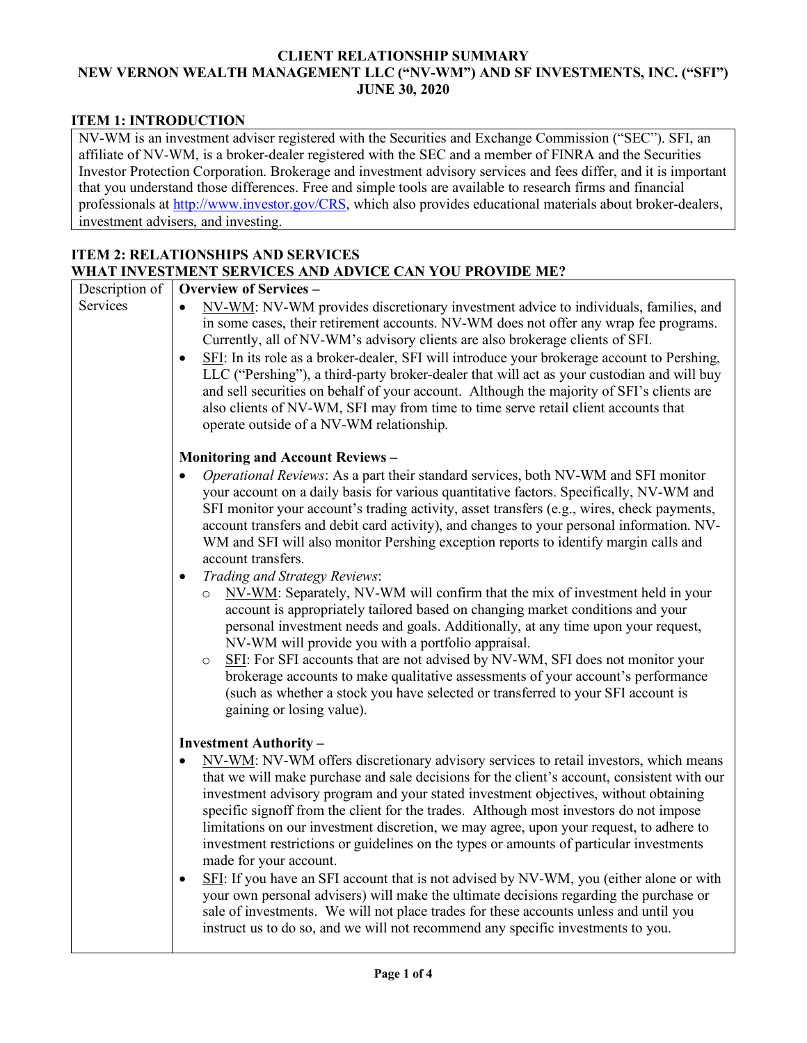#### **CLIENT RELATIONSHIP SUMMARY NEW VERNON WEALTH MANAGEMENT LLC ("NV-WM") AND SF INVESTMENTS, INC. ("SFI") JUNE 30, 2020**

## **ITEM 1: INTRODUCTION**

NV-WM is an investment adviser registered with the Securities and Exchange Commission ("SEC"). SFI, an affiliate of NV-WM, is a broker-dealer registered with the SEC and a member of FINRA and the Securities Investor Protection Corporation. Brokerage and investment advisory services and fees differ, and it is important that you understand those differences. Free and simple tools are available to research firms and financial professionals at [http://www.investor.gov/CRS,](http://www.investor.gov/CRS) which also provides educational materials about broker-dealers, investment advisers, and investing.

#### **ITEM 2: RELATIONSHIPS AND SERVICES WHAT INVESTMENT SERVICES AND ADVICE CAN YOU PROVIDE ME?**

| Description of | <b>Overview of Services -</b>                                                                                                                                                                                                                                                                                                                                                                                                                                                                                                                                                                                                                                                                                                                                                                                                                                                                                                                                                                                                                                                                                                                                                |
|----------------|------------------------------------------------------------------------------------------------------------------------------------------------------------------------------------------------------------------------------------------------------------------------------------------------------------------------------------------------------------------------------------------------------------------------------------------------------------------------------------------------------------------------------------------------------------------------------------------------------------------------------------------------------------------------------------------------------------------------------------------------------------------------------------------------------------------------------------------------------------------------------------------------------------------------------------------------------------------------------------------------------------------------------------------------------------------------------------------------------------------------------------------------------------------------------|
| Services       | NV-WM: NV-WM provides discretionary investment advice to individuals, families, and<br>in some cases, their retirement accounts. NV-WM does not offer any wrap fee programs.<br>Currently, all of NV-WM's advisory clients are also brokerage clients of SFI.<br>SFI: In its role as a broker-dealer, SFI will introduce your brokerage account to Pershing,<br>$\bullet$<br>LLC ("Pershing"), a third-party broker-dealer that will act as your custodian and will buy<br>and sell securities on behalf of your account. Although the majority of SFI's clients are<br>also clients of NV-WM, SFI may from time to time serve retail client accounts that<br>operate outside of a NV-WM relationship.                                                                                                                                                                                                                                                                                                                                                                                                                                                                       |
|                | <b>Monitoring and Account Reviews -</b>                                                                                                                                                                                                                                                                                                                                                                                                                                                                                                                                                                                                                                                                                                                                                                                                                                                                                                                                                                                                                                                                                                                                      |
|                | Operational Reviews: As a part their standard services, both NV-WM and SFI monitor<br>$\bullet$<br>your account on a daily basis for various quantitative factors. Specifically, NV-WM and<br>SFI monitor your account's trading activity, asset transfers (e.g., wires, check payments,<br>account transfers and debit card activity), and changes to your personal information. NV-<br>WM and SFI will also monitor Pershing exception reports to identify margin calls and<br>account transfers.<br>Trading and Strategy Reviews:<br>$\bullet$<br>NV-WM: Separately, NV-WM will confirm that the mix of investment held in your<br>$\circ$<br>account is appropriately tailored based on changing market conditions and your<br>personal investment needs and goals. Additionally, at any time upon your request,<br>NV-WM will provide you with a portfolio appraisal.<br>SFI: For SFI accounts that are not advised by NV-WM, SFI does not monitor your<br>$\circ$<br>brokerage accounts to make qualitative assessments of your account's performance<br>(such as whether a stock you have selected or transferred to your SFI account is<br>gaining or losing value). |
|                | <b>Investment Authority -</b>                                                                                                                                                                                                                                                                                                                                                                                                                                                                                                                                                                                                                                                                                                                                                                                                                                                                                                                                                                                                                                                                                                                                                |
|                | NV-WM: NV-WM offers discretionary advisory services to retail investors, which means<br>$\bullet$<br>that we will make purchase and sale decisions for the client's account, consistent with our<br>investment advisory program and your stated investment objectives, without obtaining<br>specific signoff from the client for the trades. Although most investors do not impose<br>limitations on our investment discretion, we may agree, upon your request, to adhere to<br>investment restrictions or guidelines on the types or amounts of particular investments<br>made for your account.<br>SFI: If you have an SFI account that is not advised by NV-WM, you (either alone or with<br>$\bullet$<br>your own personal advisers) will make the ultimate decisions regarding the purchase or                                                                                                                                                                                                                                                                                                                                                                         |
|                | sale of investments. We will not place trades for these accounts unless and until you<br>instruct us to do so, and we will not recommend any specific investments to you.                                                                                                                                                                                                                                                                                                                                                                                                                                                                                                                                                                                                                                                                                                                                                                                                                                                                                                                                                                                                    |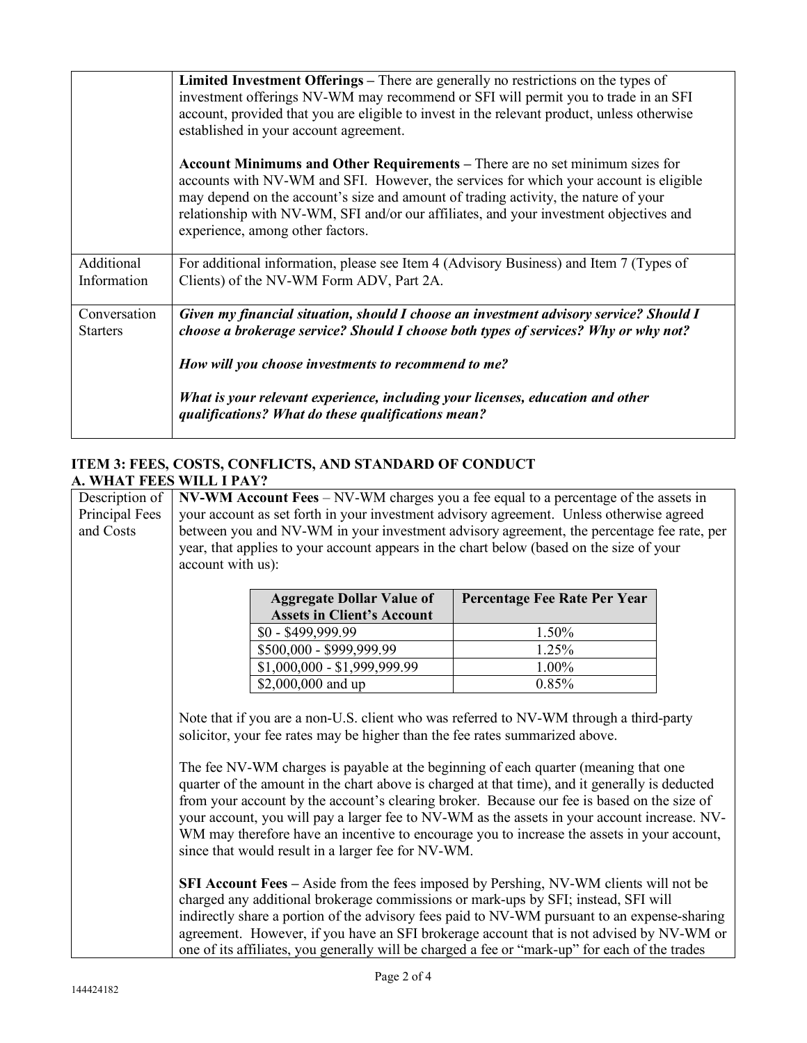|                                 | Limited Investment Offerings - There are generally no restrictions on the types of<br>investment offerings NV-WM may recommend or SFI will permit you to trade in an SFI<br>account, provided that you are eligible to invest in the relevant product, unless otherwise                                                                                                                                                              |
|---------------------------------|--------------------------------------------------------------------------------------------------------------------------------------------------------------------------------------------------------------------------------------------------------------------------------------------------------------------------------------------------------------------------------------------------------------------------------------|
|                                 | established in your account agreement.<br>Account Minimums and Other Requirements – There are no set minimum sizes for<br>accounts with NV-WM and SFI. However, the services for which your account is eligible<br>may depend on the account's size and amount of trading activity, the nature of your<br>relationship with NV-WM, SFI and/or our affiliates, and your investment objectives and<br>experience, among other factors. |
| Additional<br>Information       | For additional information, please see Item 4 (Advisory Business) and Item 7 (Types of<br>Clients) of the NV-WM Form ADV, Part 2A.                                                                                                                                                                                                                                                                                                   |
| Conversation<br><b>Starters</b> | Given my financial situation, should I choose an investment advisory service? Should I<br>choose a brokerage service? Should I choose both types of services? Why or why not?<br>How will you choose investments to recommend to me?<br>What is your relevant experience, including your licenses, education and other                                                                                                               |
|                                 | qualifications? What do these qualifications mean?                                                                                                                                                                                                                                                                                                                                                                                   |

# **ITEM 3: FEES, COSTS, CONFLICTS, AND STANDARD OF CONDUCT A. WHAT FEES WILL I PAY?**

| Description of<br>Principal Fees<br>and Costs | $N$ V-WM Account Fees – $N$ V-WM charges you a fee equal to a percentage of the assets in<br>your account as set forth in your investment advisory agreement. Unless otherwise agreed<br>between you and NV-WM in your investment advisory agreement, the percentage fee rate, per<br>year, that applies to your account appears in the chart below (based on the size of your<br>account with us):                                                                                                                                                                                                                                                                                                                  |                              |  |
|-----------------------------------------------|----------------------------------------------------------------------------------------------------------------------------------------------------------------------------------------------------------------------------------------------------------------------------------------------------------------------------------------------------------------------------------------------------------------------------------------------------------------------------------------------------------------------------------------------------------------------------------------------------------------------------------------------------------------------------------------------------------------------|------------------------------|--|
|                                               | <b>Aggregate Dollar Value of</b>                                                                                                                                                                                                                                                                                                                                                                                                                                                                                                                                                                                                                                                                                     | Percentage Fee Rate Per Year |  |
|                                               | <b>Assets in Client's Account</b>                                                                                                                                                                                                                                                                                                                                                                                                                                                                                                                                                                                                                                                                                    |                              |  |
|                                               | \$0 - \$499,999.99                                                                                                                                                                                                                                                                                                                                                                                                                                                                                                                                                                                                                                                                                                   | 1.50%                        |  |
|                                               | \$500,000 - \$999,999.99                                                                                                                                                                                                                                                                                                                                                                                                                                                                                                                                                                                                                                                                                             | 1.25%                        |  |
|                                               | \$1,000,000 - \$1,999,999.99                                                                                                                                                                                                                                                                                                                                                                                                                                                                                                                                                                                                                                                                                         | 1.00%                        |  |
|                                               | \$2,000,000 and up                                                                                                                                                                                                                                                                                                                                                                                                                                                                                                                                                                                                                                                                                                   | 0.85%                        |  |
|                                               | Note that if you are a non-U.S. client who was referred to NV-WM through a third-party<br>solicitor, your fee rates may be higher than the fee rates summarized above.<br>The fee NV-WM charges is payable at the beginning of each quarter (meaning that one<br>quarter of the amount in the chart above is charged at that time), and it generally is deducted<br>from your account by the account's clearing broker. Because our fee is based on the size of<br>your account, you will pay a larger fee to NV-WM as the assets in your account increase. NV-<br>WM may therefore have an incentive to encourage you to increase the assets in your account,<br>since that would result in a larger fee for NV-WM. |                              |  |
|                                               | SFI Account Fees – Aside from the fees imposed by Pershing, NV-WM clients will not be<br>charged any additional brokerage commissions or mark-ups by SFI; instead, SFI will<br>indirectly share a portion of the advisory fees paid to NV-WM pursuant to an expense-sharing<br>agreement. However, if you have an SFI brokerage account that is not advised by NV-WM or<br>one of its affiliates, you generally will be charged a fee or "mark-up" for each of the trades                                                                                                                                                                                                                                            |                              |  |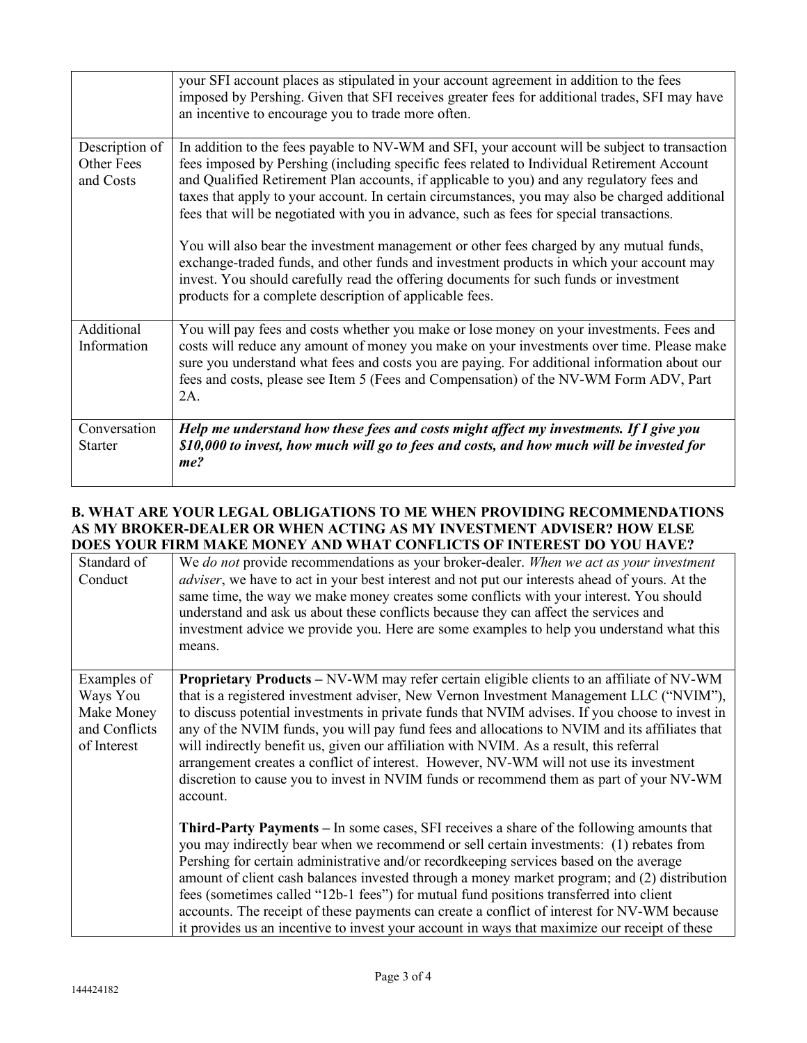|                                                  | your SFI account places as stipulated in your account agreement in addition to the fees<br>imposed by Pershing. Given that SFI receives greater fees for additional trades, SFI may have<br>an incentive to encourage you to trade more often.                                                                                                                                                                                                                                                                                                                                                                                                                                                                                                                                                                                    |
|--------------------------------------------------|-----------------------------------------------------------------------------------------------------------------------------------------------------------------------------------------------------------------------------------------------------------------------------------------------------------------------------------------------------------------------------------------------------------------------------------------------------------------------------------------------------------------------------------------------------------------------------------------------------------------------------------------------------------------------------------------------------------------------------------------------------------------------------------------------------------------------------------|
| Description of<br><b>Other Fees</b><br>and Costs | In addition to the fees payable to NV-WM and SFI, your account will be subject to transaction<br>fees imposed by Pershing (including specific fees related to Individual Retirement Account<br>and Qualified Retirement Plan accounts, if applicable to you) and any regulatory fees and<br>taxes that apply to your account. In certain circumstances, you may also be charged additional<br>fees that will be negotiated with you in advance, such as fees for special transactions.<br>You will also bear the investment management or other fees charged by any mutual funds,<br>exchange-traded funds, and other funds and investment products in which your account may<br>invest. You should carefully read the offering documents for such funds or investment<br>products for a complete description of applicable fees. |
| Additional<br>Information                        | You will pay fees and costs whether you make or lose money on your investments. Fees and<br>costs will reduce any amount of money you make on your investments over time. Please make<br>sure you understand what fees and costs you are paying. For additional information about our<br>fees and costs, please see Item 5 (Fees and Compensation) of the NV-WM Form ADV, Part<br>2A.                                                                                                                                                                                                                                                                                                                                                                                                                                             |
| Conversation<br><b>Starter</b>                   | Help me understand how these fees and costs might affect my investments. If I give you<br>\$10,000 to invest, how much will go to fees and costs, and how much will be invested for<br>me?                                                                                                                                                                                                                                                                                                                                                                                                                                                                                                                                                                                                                                        |

## **B. WHAT ARE YOUR LEGAL OBLIGATIONS TO ME WHEN PROVIDING RECOMMENDATIONS AS MY BROKER-DEALER OR WHEN ACTING AS MY INVESTMENT ADVISER? HOW ELSE DOES YOUR FIRM MAKE MONEY AND WHAT CONFLICTS OF INTEREST DO YOU HAVE?**

| Standard of<br>Conduct                                                | We do not provide recommendations as your broker-dealer. When we act as your investment<br>adviser, we have to act in your best interest and not put our interests ahead of yours. At the<br>same time, the way we make money creates some conflicts with your interest. You should<br>understand and ask us about these conflicts because they can affect the services and<br>investment advice we provide you. Here are some examples to help you understand what this<br>means.                                                                                                                                                                                                         |
|-----------------------------------------------------------------------|--------------------------------------------------------------------------------------------------------------------------------------------------------------------------------------------------------------------------------------------------------------------------------------------------------------------------------------------------------------------------------------------------------------------------------------------------------------------------------------------------------------------------------------------------------------------------------------------------------------------------------------------------------------------------------------------|
| Examples of<br>Ways You<br>Make Money<br>and Conflicts<br>of Interest | <b>Proprietary Products – NV-WM may refer certain eligible clients to an affiliate of NV-WM</b><br>that is a registered investment adviser, New Vernon Investment Management LLC ("NVIM"),<br>to discuss potential investments in private funds that NVIM advises. If you choose to invest in<br>any of the NVIM funds, you will pay fund fees and allocations to NVIM and its affiliates that<br>will indirectly benefit us, given our affiliation with NVIM. As a result, this referral<br>arrangement creates a conflict of interest. However, NV-WM will not use its investment<br>discretion to cause you to invest in NVIM funds or recommend them as part of your NV-WM<br>account. |
|                                                                       | <b>Third-Party Payments</b> – In some cases, SFI receives a share of the following amounts that<br>you may indirectly bear when we recommend or sell certain investments: (1) rebates from<br>Pershing for certain administrative and/or recordkeeping services based on the average<br>amount of client cash balances invested through a money market program; and (2) distribution<br>fees (sometimes called "12b-1 fees") for mutual fund positions transferred into client<br>accounts. The receipt of these payments can create a conflict of interest for NV-WM because<br>it provides us an incentive to invest your account in ways that maximize our receipt of these             |